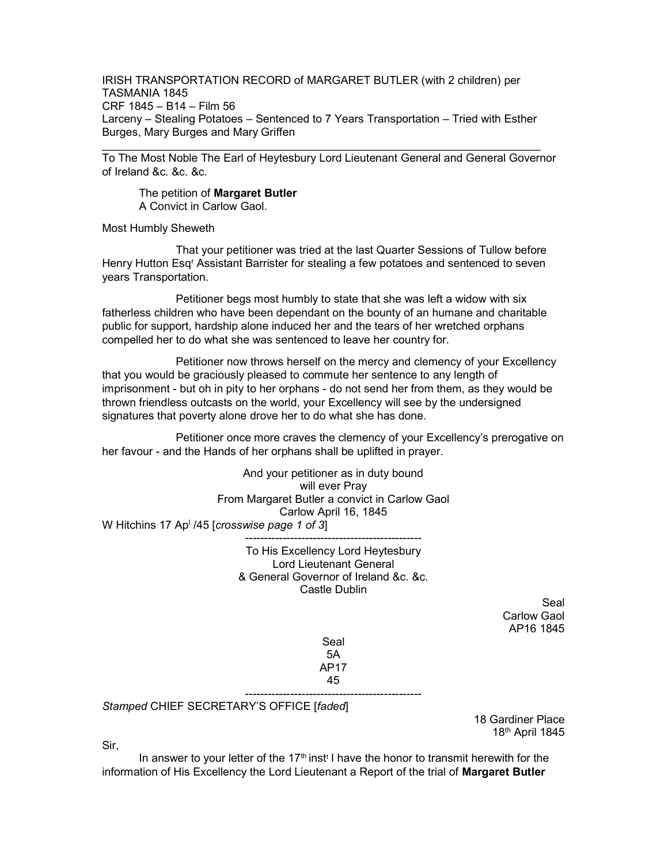IRISH TRANSPORTATION RECORD of MARGARET BUTLER (with 2 children) per TASMANIA 1845 CRF 1845 – B14 – Film 56 Larceny – Stealing Potatoes – Sentenced to 7 Years Transportation – Tried with Esther Burges, Mary Burges and Mary Griffen

To The Most Noble The Earl of Heytesbury Lord Lieutenant General and General Governor of Ireland &c. &c. &c.

\_\_\_\_\_\_\_\_\_\_\_\_\_\_\_\_\_\_\_\_\_\_\_\_\_\_\_\_\_\_\_\_\_\_\_\_\_\_\_\_\_\_\_\_\_\_\_\_\_\_\_\_\_\_\_\_\_\_\_\_\_\_\_\_\_\_\_\_\_\_

The petition of Margaret Butler A Convict in Carlow Gaol.

Most Humbly Sheweth

 That your petitioner was tried at the last Quarter Sessions of Tullow before Henry Hutton Esq<sup>r</sup> Assistant Barrister for stealing a few potatoes and sentenced to seven years Transportation.

 Petitioner begs most humbly to state that she was left a widow with six fatherless children who have been dependant on the bounty of an humane and charitable public for support, hardship alone induced her and the tears of her wretched orphans compelled her to do what she was sentenced to leave her country for.

 Petitioner now throws herself on the mercy and clemency of your Excellency that you would be graciously pleased to commute her sentence to any length of imprisonment - but oh in pity to her orphans - do not send her from them, as they would be thrown friendless outcasts on the world, your Excellency will see by the undersigned signatures that poverty alone drove her to do what she has done.

 Petitioner once more craves the clemency of your Excellency's prerogative on her favour - and the Hands of her orphans shall be uplifted in prayer.

And your petitioner as in duty bound will ever Pray From Margaret Butler a convict in Carlow Gaol Carlow April 16, 1845 W Hitchins 17 Ap<sup>i</sup> /45 [*crosswise page 1 of 3*] -----------------------------------------------

> To His Excellency Lord Heytesbury Lord Lieutenant General & General Governor of Ireland &c. &c. Castle Dublin

> > Seal Carlow Gaol AP16 1845

Seal 5A AP17 45

-----------------------------------------------

Stamped CHIEF SECRETARY'S OFFICE [faded]

18 Gardiner Place 18th April 1845

Sir,

In answer to your letter of the 17<sup>th</sup> inst<sup>t</sup> I have the honor to transmit herewith for the information of His Excellency the Lord Lieutenant a Report of the trial of Margaret Butler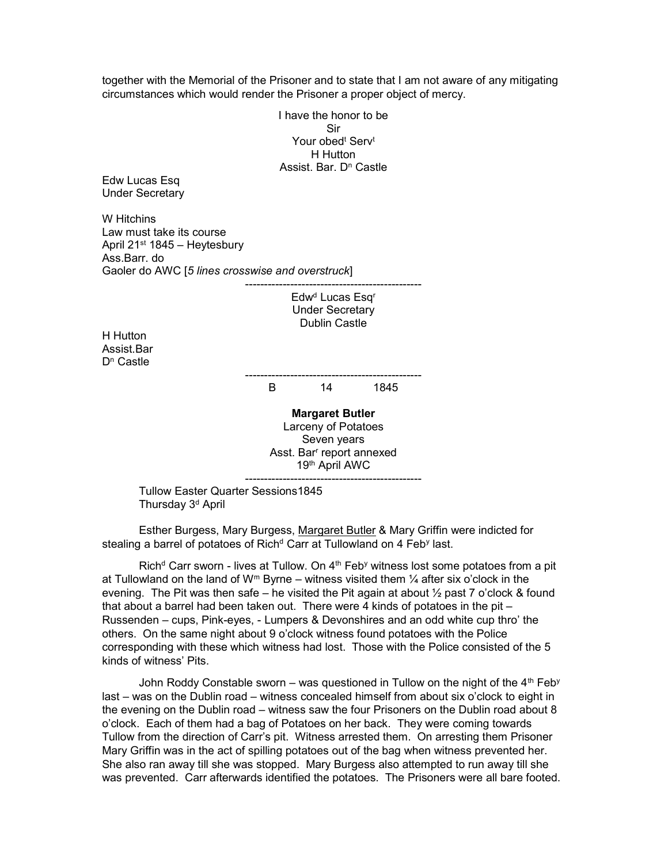together with the Memorial of the Prisoner and to state that I am not aware of any mitigating circumstances which would render the Prisoner a proper object of mercy.

> I have the honor to be Sir Your obed<sup>t</sup> Serv<sup>t</sup> H Hutton Assist. Bar. D<sup>n</sup> Castle

Edw Lucas Esq Under Secretary

W Hitchins Law must take its course April 21st 1845 – Heytesbury Ass.Barr. do Gaoler do AWC [5 lines crosswise and overstruck]

> ----------------------------------------------- Edw<sup>d</sup> Lucas Esq<sup>r</sup> Under Secretary Dublin Castle

H Hutton Assist.Bar D<sup>n</sup> Castle

----------------------------------------------- B 14 1845

Margaret Butler Larceny of Potatoes Seven years Asst. Bar<sup>r</sup> report annexed 19th April AWC -----------------------------------------------

 Tullow Easter Quarter Sessions1845 Thursday 3<sup>d</sup> April

 Esther Burgess, Mary Burgess, Margaret Butler & Mary Griffin were indicted for stealing a barrel of potatoes of Rich<sup>d</sup> Carr at Tullowland on 4 Feb<sup>y</sup> last.

Rich<sup>d</sup> Carr sworn - lives at Tullow. On 4<sup>th</sup> Feb<sup>y</sup> witness lost some potatoes from a pit at Tullowland on the land of  $W^m$  Byrne – witness visited them  $\frac{1}{4}$  after six o'clock in the evening. The Pit was then safe – he visited the Pit again at about  $\frac{1}{2}$  past 7 o'clock & found that about a barrel had been taken out. There were 4 kinds of potatoes in the pit – Russenden – cups, Pink-eyes, - Lumpers & Devonshires and an odd white cup thro' the others. On the same night about 9 o'clock witness found potatoes with the Police corresponding with these which witness had lost. Those with the Police consisted of the 5 kinds of witness' Pits.

John Roddy Constable sworn – was questioned in Tullow on the night of the  $4<sup>th</sup>$  Feb<sup>y</sup> last – was on the Dublin road – witness concealed himself from about six o'clock to eight in the evening on the Dublin road – witness saw the four Prisoners on the Dublin road about 8 o'clock. Each of them had a bag of Potatoes on her back. They were coming towards Tullow from the direction of Carr's pit. Witness arrested them. On arresting them Prisoner Mary Griffin was in the act of spilling potatoes out of the bag when witness prevented her. She also ran away till she was stopped. Mary Burgess also attempted to run away till she was prevented. Carr afterwards identified the potatoes. The Prisoners were all bare footed.